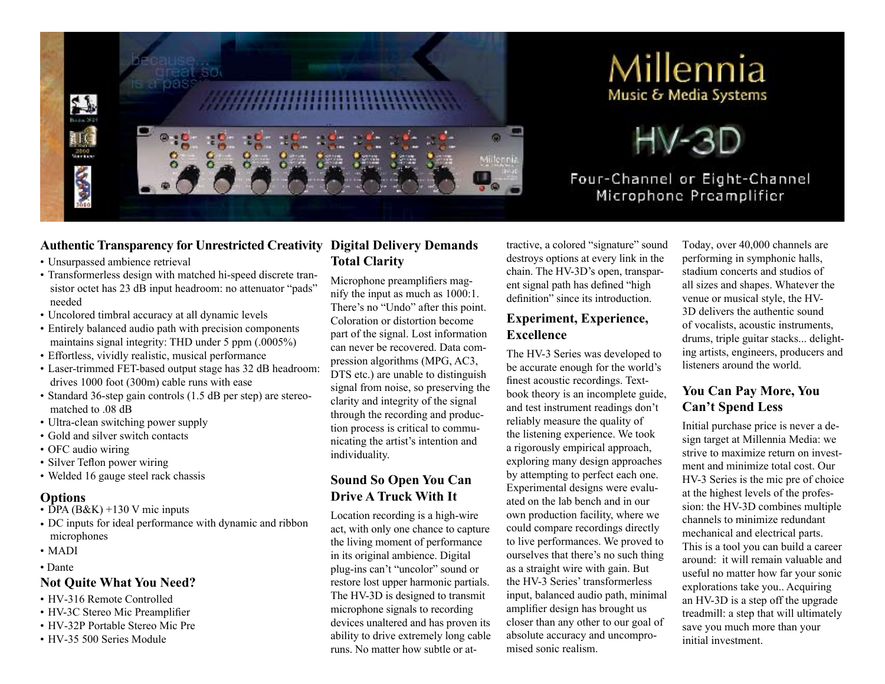





Four-Channel or Eight-Channel Microphone Preamplifier

### **Authentic Transparency for Unrestricted Creativity Digital Delivery Demands**

- Unsurpassed ambience retrieval
- Transformerless design with matched hi-speed discrete transistor octet has 23 dB input headroom: no attenuator "pads" needed
- Uncolored timbral accuracy at all dynamic levels
- Entirely balanced audio path with precision components maintains signal integrity: THD under 5 ppm (.0005%)
- Effortless, vividly realistic, musical performance
- Laser-trimmed FET-based output stage has 32 dB headroom: drives 1000 foot (300m) cable runs with ease
- Standard 36-step gain controls (1.5 dB per step) are stereomatched to .08 dB
- Ultra-clean switching power supply
- Gold and silver switch contacts
- OFC audio wiring
- Silver Teflon power wiring
- Welded 16 gauge steel rack chassis

### **Options**

- DPA  $(B&K)$  +130 V mic inputs
- DC inputs for ideal performance with dynamic and ribbon microphones
- MADI
- Dante

### **Not Quite What You Need?**

- HV-316 Remote Controlled
- HV-3C Stereo Mic Preamplifier
- HV-32P Portable Stereo Mic Pre
- HV-35 500 Series Module

# **Total Clarity**

Microphone preamplifiers magnify the input as much as 1000:1. There's no "Undo" after this point. Coloration or distortion become part of the signal. Lost information can never be recovered. Data compression algorithms (MPG, AC3, DTS etc.) are unable to distinguish signal from noise, so preserving the clarity and integrity of the signal through the recording and production process is critical to communicating the artist's intention and individuality.

### **Sound So Open You Can Drive A Truck With It**

Location recording is a high-wire act, with only one chance to capture the living moment of performance in its original ambience. Digital plug-ins can't "uncolor" sound or restore lost upper harmonic partials. The HV-3D is designed to transmit microphone signals to recording devices unaltered and has proven its ability to drive extremely long cable runs. No matter how subtle or attractive, a colored "signature" sound destroys options at every link in the chain. The HV-3D's open, transparent signal path has defined "high definition" since its introduction.

## **Experiment, Experience, Excellence**

The HV-3 Series was developed to be accurate enough for the world's finest acoustic recordings. Textbook theory is an incomplete guide, and test instrument readings don't reliably measure the quality of the listening experience. We took a rigorously empirical approach, exploring many design approaches by attempting to perfect each one. Experimental designs were evaluated on the lab bench and in our own production facility, where we could compare recordings directly to live performances. We proved to ourselves that there's no such thing as a straight wire with gain. But the HV-3 Series' transformerless input, balanced audio path, minimal amplifier design has brought us closer than any other to our goal of absolute accuracy and uncompromised sonic realism.

Today, over 40,000 channels are performing in symphonic halls, stadium concerts and studios of all sizes and shapes. Whatever the venue or musical style, the HV-3D delivers the authentic sound of vocalists, acoustic instruments, drums, triple guitar stacks... delighting artists, engineers, producers and listeners around the world.

## **You Can Pay More, You Can't Spend Less**

Initial purchase price is never a design target at Millennia Media: we strive to maximize return on investment and minimize total cost. Our HV-3 Series is the mic pre of choice at the highest levels of the profession: the HV-3D combines multiple channels to minimize redundant mechanical and electrical parts. This is a tool you can build a career around: it will remain valuable and useful no matter how far your sonic explorations take you.. Acquiring an HV-3D is a step off the upgrade treadmill: a step that will ultimately save you much more than your initial investment.